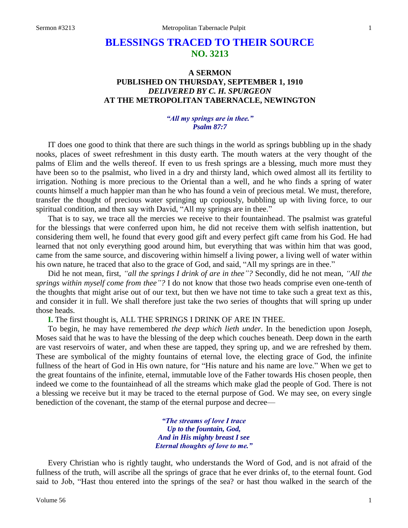# **BLESSINGS TRACED TO THEIR SOURCE NO. 3213**

# **A SERMON PUBLISHED ON THURSDAY, SEPTEMBER 1, 1910** *DELIVERED BY C. H. SPURGEON* **AT THE METROPOLITAN TABERNACLE, NEWINGTON**

# *"All my springs are in thee." Psalm 87:7*

IT does one good to think that there are such things in the world as springs bubbling up in the shady nooks, places of sweet refreshment in this dusty earth. The mouth waters at the very thought of the palms of Elim and the wells thereof. If even to us fresh springs are a blessing, much more must they have been so to the psalmist, who lived in a dry and thirsty land, which owed almost all its fertility to irrigation. Nothing is more precious to the Oriental than a well, and he who finds a spring of water counts himself a much happier man than he who has found a vein of precious metal. We must, therefore, transfer the thought of precious water springing up copiously, bubbling up with living force, to our spiritual condition, and then say with David, "All my springs are in thee."

That is to say, we trace all the mercies we receive to their fountainhead. The psalmist was grateful for the blessings that were conferred upon him, he did not receive them with selfish inattention, but considering them well, he found that every good gift and every perfect gift came from his God. He had learned that not only everything good around him, but everything that was within him that was good, came from the same source, and discovering within himself a living power, a living well of water within his own nature, he traced that also to the grace of God, and said, "All my springs are in thee."

Did he not mean, first, *"all the springs I drink of are in thee"?* Secondly, did he not mean, *"All the springs within myself come from thee"?* I do not know that those two heads comprise even one-tenth of the thoughts that might arise out of our text, but then we have not time to take such a great text as this, and consider it in full. We shall therefore just take the two series of thoughts that will spring up under those heads.

**I.** The first thought is, ALL THE SPRINGS I DRINK OF ARE IN THEE.

To begin, he may have remembered *the deep which lieth under*. In the benediction upon Joseph, Moses said that he was to have the blessing of the deep which couches beneath. Deep down in the earth are vast reservoirs of water, and when these are tapped, they spring up, and we are refreshed by them. These are symbolical of the mighty fountains of eternal love, the electing grace of God, the infinite fullness of the heart of God in His own nature, for "His nature and his name are love." When we get to the great fountains of the infinite, eternal, immutable love of the Father towards His chosen people, then indeed we come to the fountainhead of all the streams which make glad the people of God. There is not a blessing we receive but it may be traced to the eternal purpose of God. We may see, on every single benediction of the covenant, the stamp of the eternal purpose and decree—

> *"The streams of love I trace Up to the fountain, God, And in His mighty breast I see Eternal thoughts of love to me."*

Every Christian who is rightly taught, who understands the Word of God, and is not afraid of the fullness of the truth, will ascribe all the springs of grace that he ever drinks of, to the eternal fount. God said to Job, "Hast thou entered into the springs of the sea? or hast thou walked in the search of the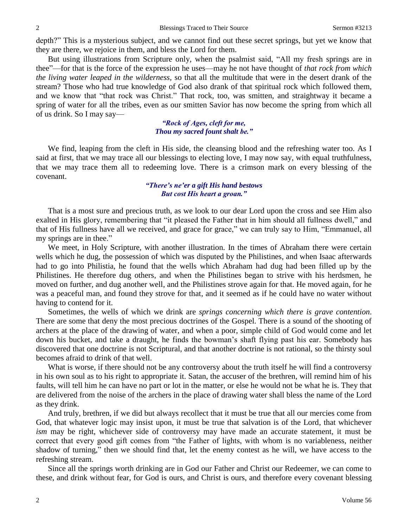depth?" This is a mysterious subject, and we cannot find out these secret springs, but yet we know that they are there, we rejoice in them, and bless the Lord for them.

But using illustrations from Scripture only, when the psalmist said, "All my fresh springs are in thee"—for that is the force of the expression he uses—may he not have thought of *that rock from which the living water leaped in the wilderness,* so that all the multitude that were in the desert drank of the stream? Those who had true knowledge of God also drank of that spiritual rock which followed them, and we know that "that rock was Christ." That rock, too, was smitten, and straightway it became a spring of water for all the tribes, even as our smitten Savior has now become the spring from which all of us drink. So I may say—

> *"Rock of Ages, cleft for me, Thou my sacred fount shalt be."*

We find, leaping from the cleft in His side, the cleansing blood and the refreshing water too. As I said at first, that we may trace all our blessings to electing love, I may now say, with equal truthfulness, that we may trace them all to redeeming love. There is a crimson mark on every blessing of the covenant.

### *"There's ne'er a gift His hand bestows But cost His heart a groan."*

That is a most sure and precious truth, as we look to our dear Lord upon the cross and see Him also exalted in His glory, remembering that "it pleased the Father that in him should all fullness dwell," and that of His fullness have all we received, and grace for grace," we can truly say to Him, "Emmanuel, all my springs are in thee."

We meet, in Holy Scripture, with another illustration. In the times of Abraham there were certain wells which he dug, the possession of which was disputed by the Philistines, and when Isaac afterwards had to go into Philistia, he found that the wells which Abraham had dug had been filled up by the Philistines. He therefore dug others, and when the Philistines began to strive with his herdsmen, he moved on further, and dug another well, and the Philistines strove again for that. He moved again, for he was a peaceful man, and found they strove for that, and it seemed as if he could have no water without having to contend for it.

Sometimes, the wells of which we drink are *springs concerning which there is grave contention*. There are some that deny the most precious doctrines of the Gospel. There is a sound of the shooting of archers at the place of the drawing of water, and when a poor, simple child of God would come and let down his bucket, and take a draught, he finds the bowman's shaft flying past his ear. Somebody has discovered that one doctrine is not Scriptural, and that another doctrine is not rational, so the thirsty soul becomes afraid to drink of that well.

What is worse, if there should not be any controversy about the truth itself he will find a controversy in his own soul as to his right to appropriate it. Satan, the accuser of the brethren, will remind him of his faults, will tell him he can have no part or lot in the matter, or else he would not be what he is. They that are delivered from the noise of the archers in the place of drawing water shall bless the name of the Lord as they drink.

And truly, brethren, if we did but always recollect that it must be true that all our mercies come from God, that whatever logic may insist upon, it must be true that salvation is of the Lord, that whichever *ism* may be right, whichever side of controversy may have made an accurate statement, it must be correct that every good gift comes from "the Father of lights, with whom is no variableness, neither shadow of turning," then we should find that, let the enemy contest as he will, we have access to the refreshing stream.

Since all the springs worth drinking are in God our Father and Christ our Redeemer, we can come to these, and drink without fear, for God is ours, and Christ is ours, and therefore every covenant blessing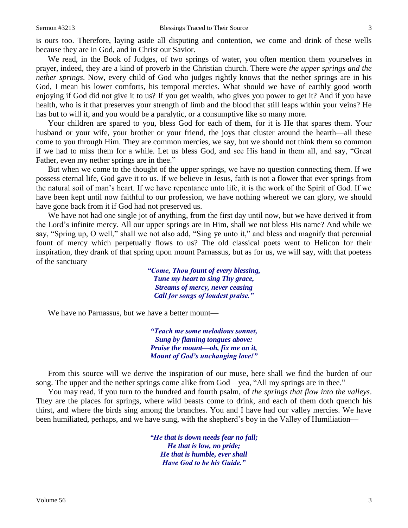is ours too. Therefore, laying aside all disputing and contention, we come and drink of these wells because they are in God, and in Christ our Savior.

We read, in the Book of Judges, of two springs of water, you often mention them yourselves in prayer, indeed, they are a kind of proverb in the Christian church. There were *the upper springs and the nether springs*. Now, every child of God who judges rightly knows that the nether springs are in his God, I mean his lower comforts, his temporal mercies. What should we have of earthly good worth enjoying if God did not give it to us? If you get wealth, who gives you power to get it? And if you have health, who is it that preserves your strength of limb and the blood that still leaps within your veins? He has but to will it, and you would be a paralytic, or a consumptive like so many more.

Your children are spared to you, bless God for each of them, for it is He that spares them. Your husband or your wife, your brother or your friend, the joys that cluster around the hearth—all these come to you through Him. They are common mercies, we say, but we should not think them so common if we had to miss them for a while. Let us bless God, and see His hand in them all, and say, "Great Father, even my nether springs are in thee."

But when we come to the thought of the upper springs, we have no question connecting them. If we possess eternal life, God gave it to us. If we believe in Jesus, faith is not a flower that ever springs from the natural soil of man's heart. If we have repentance unto life, it is the work of the Spirit of God. If we have been kept until now faithful to our profession, we have nothing whereof we can glory, we should have gone back from it if God had not preserved us.

We have not had one single jot of anything, from the first day until now, but we have derived it from the Lord's infinite mercy. All our upper springs are in Him, shall we not bless His name? And while we say, "Spring up, O well," shall we not also add, "Sing ye unto it," and bless and magnify that perennial fount of mercy which perpetually flows to us? The old classical poets went to Helicon for their inspiration, they drank of that spring upon mount Parnassus, but as for us, we will say, with that poetess of the sanctuary—

> *"Come, Thou fount of every blessing, Tune my heart to sing Thy grace, Streams of mercy, never ceasing Call for songs of loudest praise."*

We have no Parnassus, but we have a better mount—

*"Teach me some melodious sonnet, Sung by flaming tongues above: Praise the mount—oh, fix me on it, Mount of God's unchanging love!"*

From this source will we derive the inspiration of our muse, here shall we find the burden of our song. The upper and the nether springs come alike from God—yea, "All my springs are in thee."

You may read, if you turn to the hundred and fourth psalm, of *the springs that flow into the valleys*. They are the places for springs, where wild beasts come to drink, and each of them doth quench his thirst, and where the birds sing among the branches. You and I have had our valley mercies. We have been humiliated, perhaps, and we have sung, with the shepherd's boy in the Valley of Humiliation—

> *"He that is down needs fear no fall; He that is low, no pride; He that is humble, ever shall Have God to be his Guide."*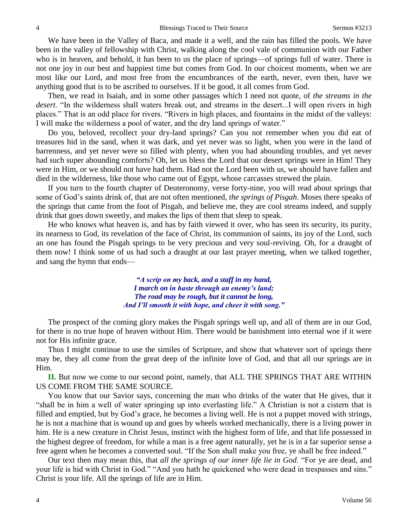We have been in the Valley of Baca, and made it a well, and the rain has filled the pools. We have been in the valley of fellowship with Christ, walking along the cool vale of communion with our Father who is in heaven, and behold, it has been to us the place of springs—of springs full of water. There is not one joy in our best and happiest time but comes from God. In our choicest moments, when we are most like our Lord, and most free from the encumbrances of the earth, never, even then, have we anything good that is to be ascribed to ourselves. If it be good, it all comes from God.

Then, we read in Isaiah, and in some other passages which I need not quote, of *the streams in the desert*. "In the wilderness shall waters break out, and streams in the desert...I will open rivers in high places." That is an odd place for rivers. "Rivers in high places, and fountains in the midst of the valleys: I will make the wilderness a pool of water, and the dry land springs of water."

Do you, beloved, recollect your dry-land springs? Can you not remember when you did eat of treasures hid in the sand, when it was dark, and yet never was so light, when you were in the land of barrenness, and yet never were so filled with plenty, when you had abounding troubles, and yet never had such super abounding comforts? Oh, let us bless the Lord that our desert springs were in Him! They were in Him, or we should not have had them. Had not the Lord been with us, we should have fallen and died in the wilderness, like those who came out of Egypt, whose carcasses strewed the plain.

If you turn to the fourth chapter of Deuteronomy, verse forty-nine, you will read about springs that some of God's saints drink of, that are not often mentioned, *the springs of Pisgah*. Moses there speaks of the springs that came from the foot of Pisgah, and believe me, they are cool streams indeed, and supply drink that goes down sweetly, and makes the lips of them that sleep to speak.

He who knows what heaven is, and has by faith viewed it over, who has seen its security, its purity, its nearness to God, its revelation of the face of Christ, its communion of saints, its joy of the Lord, such an one has found the Pisgah springs to be very precious and very soul-reviving. Oh, for a draught of them now! I think some of us had such a draught at our last prayer meeting, when we talked together, and sang the hymn that ends—

> *"A scrip on my back, and a staff in my hand, I march on in haste through an enemy's land; The road may be rough, but it cannot be long, And I'll smooth it with hope, and cheer it with song."*

The prospect of the coming glory makes the Pisgah springs well up, and all of them are in our God, for there is no true hope of heaven without Him. There would be banishment into eternal woe if it were not for His infinite grace.

Thus I might continue to use the similes of Scripture, and show that whatever sort of springs there may be, they all come from the great deep of the infinite love of God, and that all our springs are in Him.

**II.** But now we come to our second point, namely, that ALL THE SPRINGS THAT ARE WITHIN US COME FROM THE SAME SOURCE.

You know that our Savior says, concerning the man who drinks of the water that He gives, that it "shall be in him a well of water springing up into everlasting life." A Christian is not a cistern that is filled and emptied, but by God's grace, he becomes a living well. He is not a puppet moved with strings, he is not a machine that is wound up and goes by wheels worked mechanically, there is a living power in him. He is a new creature in Christ Jesus, instinct with the highest form of life, and that life possessed in the highest degree of freedom, for while a man is a free agent naturally, yet he is in a far superior sense a free agent when he becomes a converted soul. "If the Son shall make you free, ye shall be free indeed."

Our text then may mean this, that *all the springs of our inner life lie in God*. "For ye are dead, and your life is hid with Christ in God." "And you hath he quickened who were dead in trespasses and sins." Christ is your life. All the springs of life are in Him.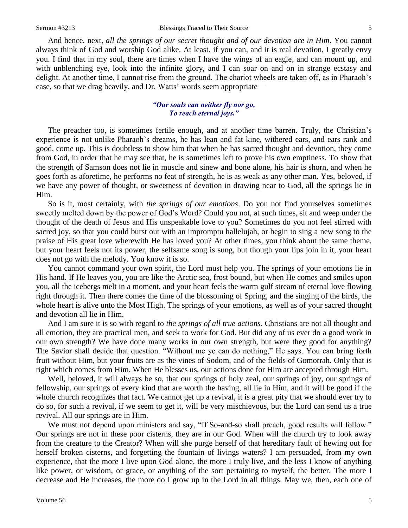And hence, next, *all the springs of our secret thought and of our devotion are in Him*. You cannot always think of God and worship God alike. At least, if you can, and it is real devotion, I greatly envy you. I find that in my soul, there are times when I have the wings of an eagle, and can mount up, and with unblenching eye, look into the infinite glory, and I can soar on and on in strange ecstasy and delight. At another time, I cannot rise from the ground. The chariot wheels are taken off, as in Pharaoh's case, so that we drag heavily, and Dr. Watts' words seem appropriate—

#### *"Our souls can neither fly nor go, To reach eternal joys."*

The preacher too, is sometimes fertile enough, and at another time barren. Truly, the Christian's experience is not unlike Pharaoh's dreams, he has lean and fat kine, withered ears, and ears rank and good, come up. This is doubtless to show him that when he has sacred thought and devotion, they come from God, in order that he may see that, he is sometimes left to prove his own emptiness. To show that the strength of Samson does not lie in muscle and sinew and bone alone, his hair is shorn, and when he goes forth as aforetime, he performs no feat of strength, he is as weak as any other man. Yes, beloved, if we have any power of thought, or sweetness of devotion in drawing near to God, all the springs lie in Him.

So is it, most certainly, with *the springs of our emotions*. Do you not find yourselves sometimes sweetly melted down by the power of God's Word? Could you not, at such times, sit and weep under the thought of the death of Jesus and His unspeakable love to you? Sometimes do you not feel stirred with sacred joy, so that you could burst out with an impromptu hallelujah, or begin to sing a new song to the praise of His great love wherewith He has loved you? At other times, you think about the same theme, but your heart feels not its power, the selfsame song is sung, but though your lips join in it, your heart does not go with the melody. You know it is so.

You cannot command your own spirit, the Lord must help you. The springs of your emotions lie in His hand. If He leaves you, you are like the Arctic sea, frost bound, but when He comes and smiles upon you, all the icebergs melt in a moment, and your heart feels the warm gulf stream of eternal love flowing right through it. Then there comes the time of the blossoming of Spring, and the singing of the birds, the whole heart is alive unto the Most High. The springs of your emotions, as well as of your sacred thought and devotion all lie in Him.

And I am sure it is so with regard to *the springs of all true actions*. Christians are not all thought and all emotion, they are practical men, and seek to work for God. But did any of us ever do a good work in our own strength? We have done many works in our own strength, but were they good for anything? The Savior shall decide that question. "Without me ye can do nothing," He says. You can bring forth fruit without Him, but your fruits are as the vines of Sodom, and of the fields of Gomorrah. Only that is right which comes from Him. When He blesses us, our actions done for Him are accepted through Him.

Well, beloved, it will always be so, that our springs of holy zeal, our springs of joy, our springs of fellowship, our springs of every kind that are worth the having, all lie in Him, and it will be good if the whole church recognizes that fact. We cannot get up a revival, it is a great pity that we should ever try to do so, for such a revival, if we seem to get it, will be very mischievous, but the Lord can send us a true revival. All our springs are in Him.

We must not depend upon ministers and say, "If So-and-so shall preach, good results will follow." Our springs are not in these poor cisterns, they are in our God. When will the church try to look away from the creature to the Creator? When will she purge herself of that hereditary fault of hewing out for herself broken cisterns, and forgetting the fountain of livings waters? I am persuaded, from my own experience, that the more I live upon God alone, the more I truly live, and the less I know of anything like power, or wisdom, or grace, or anything of the sort pertaining to myself, the better. The more I decrease and He increases, the more do I grow up in the Lord in all things. May we, then, each one of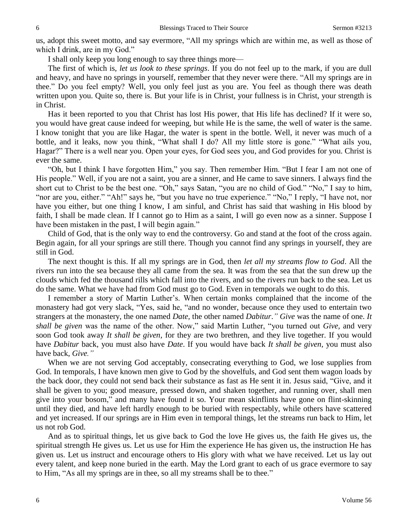us, adopt this sweet motto, and say evermore, "All my springs which are within me, as well as those of which I drink, are in my God."

I shall only keep you long enough to say three things more—

The first of which is, *let us look to these springs*. If you do not feel up to the mark, if you are dull and heavy, and have no springs in yourself, remember that they never were there. "All my springs are in thee." Do you feel empty? Well, you only feel just as you are. You feel as though there was death written upon you. Quite so, there is. But your life is in Christ, your fullness is in Christ, your strength is in Christ.

Has it been reported to you that Christ has lost His power, that His life has declined? If it were so, you would have great cause indeed for weeping, but while He is the same, the well of water is the same. I know tonight that you are like Hagar, the water is spent in the bottle. Well, it never was much of a bottle, and it leaks, now you think, "What shall I do? All my little store is gone." "What ails you, Hagar?" There is a well near you. Open your eyes, for God sees you, and God provides for you. Christ is ever the same.

"Oh, but I think I have forgotten Him," you say. Then remember Him. "But I fear I am not one of His people." Well, if you are not a saint, you are a sinner, and He came to save sinners. I always find the short cut to Christ to be the best one. "Oh," says Satan, "you are no child of God." "No," I say to him, "nor are you, either." "Ah!" says he, "but you have no true experience." "No," I reply, "I have not, nor have you either, but one thing I know, I am sinful, and Christ has said that washing in His blood by faith, I shall be made clean. If I cannot go to Him as a saint, I will go even now as a sinner. Suppose I have been mistaken in the past, I will begin again."

Child of God, that is the only way to end the controversy. Go and stand at the foot of the cross again. Begin again, for all your springs are still there. Though you cannot find any springs in yourself, they are still in God.

The next thought is this. If all my springs are in God, then *let all my streams flow to God*. All the rivers run into the sea because they all came from the sea. It was from the sea that the sun drew up the clouds which fed the thousand rills which fall into the rivers, and so the rivers run back to the sea. Let us do the same. What we have had from God must go to God. Even in temporals we ought to do this.

I remember a story of Martin Luther's. When certain monks complained that the income of the monastery had got very slack, "Yes, said he, "and no wonder, because once they used to entertain two strangers at the monastery, the one named *Date,* the other named *Dabitur*.*" Give* was the name of one. *It shall be given* was the name of the other. Now," said Martin Luther, "you turned out *Give,* and very soon God took away *It shall be given,* for they are two brethren, and they live together. If you would have *Dabitur* back, you must also have *Date*. If you would have back *It shall be given,* you must also have back, *Give."*

When we are not serving God acceptably, consecrating everything to God, we lose supplies from God. In temporals, I have known men give to God by the shovelfuls, and God sent them wagon loads by the back door, they could not send back their substance as fast as He sent it in. Jesus said, "Give, and it shall be given to you; good measure, pressed down, and shaken together, and running over, shall men give into your bosom," and many have found it so. Your mean skinflints have gone on flint-skinning until they died, and have left hardly enough to be buried with respectably, while others have scattered and yet increased. If our springs are in Him even in temporal things, let the streams run back to Him, let us not rob God.

And as to spiritual things, let us give back to God the love He gives us, the faith He gives us, the spiritual strength He gives us. Let us use for Him the experience He has given us, the instruction He has given us. Let us instruct and encourage others to His glory with what we have received. Let us lay out every talent, and keep none buried in the earth. May the Lord grant to each of us grace evermore to say to Him, "As all my springs are in thee, so all my streams shall be to thee."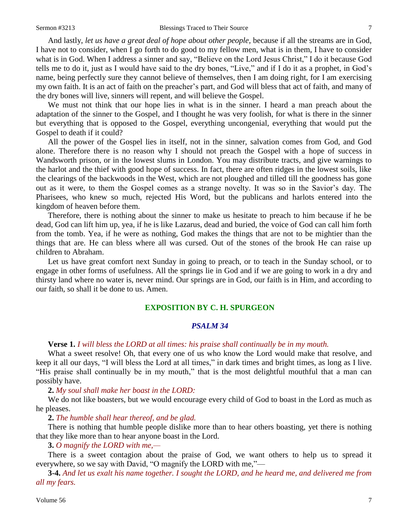And lastly, *let us have a great deal of hope about other people,* because if all the streams are in God, I have not to consider, when I go forth to do good to my fellow men, what is in them, I have to consider what is in God. When I address a sinner and say, "Believe on the Lord Jesus Christ," I do it because God tells me to do it, just as I would have said to the dry bones, "Live," and if I do it as a prophet, in God's name, being perfectly sure they cannot believe of themselves, then I am doing right, for I am exercising my own faith. It is an act of faith on the preacher's part, and God will bless that act of faith, and many of the dry bones will live, sinners will repent, and will believe the Gospel.

We must not think that our hope lies in what is in the sinner. I heard a man preach about the adaptation of the sinner to the Gospel, and I thought he was very foolish, for what is there in the sinner but everything that is opposed to the Gospel, everything uncongenial, everything that would put the Gospel to death if it could?

All the power of the Gospel lies in itself, not in the sinner, salvation comes from God, and God alone. Therefore there is no reason why I should not preach the Gospel with a hope of success in Wandsworth prison, or in the lowest slums in London. You may distribute tracts, and give warnings to the harlot and the thief with good hope of success. In fact, there are often ridges in the lowest soils, like the clearings of the backwoods in the West, which are not ploughed and tilled till the goodness has gone out as it were, to them the Gospel comes as a strange novelty. It was so in the Savior's day. The Pharisees, who knew so much, rejected His Word, but the publicans and harlots entered into the kingdom of heaven before them.

Therefore, there is nothing about the sinner to make us hesitate to preach to him because if he be dead, God can lift him up, yea, if he is like Lazarus, dead and buried, the voice of God can call him forth from the tomb. Yea, if he were as nothing, God makes the things that are not to be mightier than the things that are. He can bless where all was cursed. Out of the stones of the brook He can raise up children to Abraham.

Let us have great comfort next Sunday in going to preach, or to teach in the Sunday school, or to engage in other forms of usefulness. All the springs lie in God and if we are going to work in a dry and thirsty land where no water is, never mind. Our springs are in God, our faith is in Him, and according to our faith, so shall it be done to us. Amen.

# **EXPOSITION BY C. H. SPURGEON**

# *PSALM 34*

**Verse 1.** *I will bless the LORD at all times: his praise shall continually be in my mouth.*

What a sweet resolve! Oh, that every one of us who know the Lord would make that resolve, and keep it all our days, "I will bless the Lord at all times," in dark times and bright times, as long as I live. "His praise shall continually be in my mouth," that is the most delightful mouthful that a man can possibly have.

**2.** *My soul shall make her boast in the LORD:*

We do not like boasters, but we would encourage every child of God to boast in the Lord as much as he pleases.

**2.** *The humble shall hear thereof, and be glad.*

There is nothing that humble people dislike more than to hear others boasting, yet there is nothing that they like more than to hear anyone boast in the Lord.

**3.** *O magnify the LORD with me,—*

There is a sweet contagion about the praise of God, we want others to help us to spread it everywhere, so we say with David, "O magnify the LORD with me,"—

**3-4.** *And let us exalt his name together. I sought the LORD, and he heard me, and delivered me from all my fears.*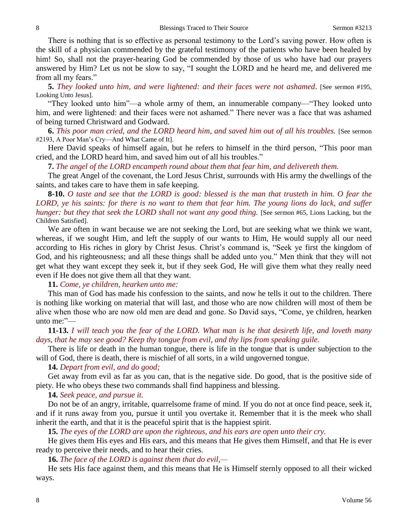There is nothing that is so effective as personal testimony to the Lord's saving power. How often is the skill of a physician commended by the grateful testimony of the patients who have been healed by him! So, shall not the prayer-hearing God be commended by those of us who have had our prayers answered by Him? Let us not be slow to say, "I sought the LORD and he heard me, and delivered me from all my fears."

**5.** *They looked unto him, and were lightened: and their faces were not ashamed*. [See sermon #195, Looking Unto Jesus].

"They looked unto him"—a whole army of them, an innumerable company—"They looked unto him, and were lightened: and their faces were not ashamed." There never was a face that was ashamed of being turned Christward and Godward.

**6.** *This poor man cried, and the LORD heard him, and saved him out of all his troubles.* [See sermon #2193, A Poor Man's Cry—And What Came of It].

Here David speaks of himself again, but he refers to himself in the third person, "This poor man cried, and the LORD heard him, and saved him out of all his troubles."

**7.** *The angel of the LORD encampeth round about them that fear him, and delivereth them.*

The great Angel of the covenant, the Lord Jesus Christ, surrounds with His army the dwellings of the saints, and takes care to have them in safe keeping.

**8-10.** *O taste and see that the LORD is good: blessed is the man that trusteth in him. O fear the LORD, ye his saints: for there is no want to them that fear him. The young lions do lack, and suffer hunger: but they that seek the LORD shall not want any good thing.* [See sermon #65, Lions Lacking, but the Children Satisfied].

We are often in want because we are not seeking the Lord, but are seeking what we think we want, whereas, if we sought Him, and left the supply of our wants to Him, He would supply all our need according to His riches in glory by Christ Jesus. Christ's command is, "Seek ye first the kingdom of God, and his righteousness; and all these things shall be added unto you." Men think that they will not get what they want except they seek it, but if they seek God, He will give them what they really need even if He does not give them all that they want.

**11.** *Come, ye children, hearken unto me:*

This man of God has made his confession to the saints, and now he tells it out to the children. There is nothing like working on material that will last, and those who are now children will most of them be alive when those who are now old men are dead and gone. So David says, "Come, ye children, hearken unto me:"—

**11-13.** *I will teach you the fear of the LORD. What man is he that desireth life, and loveth many days, that he may see good? Keep thy tongue from evil, and thy lips from speaking guile.*

There is life or death in the human tongue, there is life in the tongue that is under subjection to the will of God, there is death, there is mischief of all sorts, in a wild ungoverned tongue.

# **14.** *Depart from evil, and do good;*

Get away from evil as far as you can, that is the negative side. Do good, that is the positive side of piety. He who obeys these two commands shall find happiness and blessing.

**14.** *Seek peace, and pursue it.*

Do not be of an angry, irritable, quarrelsome frame of mind. If you do not at once find peace, seek it, and if it runs away from you, pursue it until you overtake it. Remember that it is the meek who shall inherit the earth, and that it is the peaceful spirit that is the happiest spirit.

**15.** *The eyes of the LORD are upon the righteous, and his ears are open unto their cry.*

He gives them His eyes and His ears, and this means that He gives them Himself, and that He is ever ready to perceive their needs, and to hear their cries.

**16.** *The face of the LORD is against them that do evil,—*

He sets His face against them, and this means that He is Himself sternly opposed to all their wicked ways.